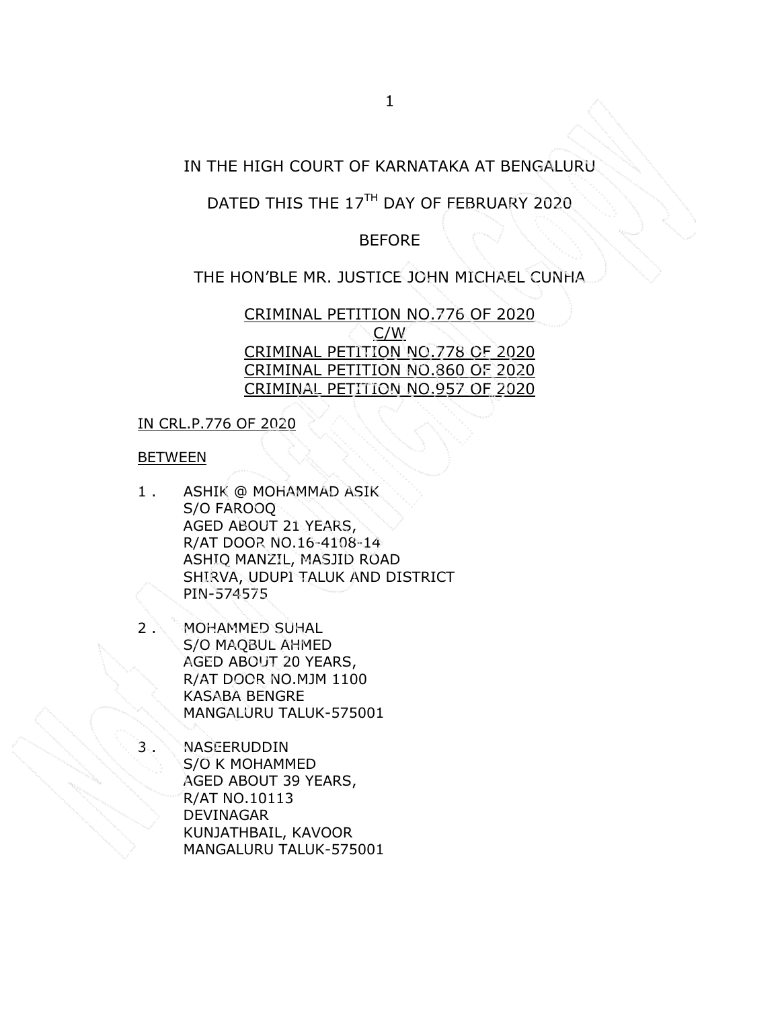# IN THE HIGH COURT OF KARNATAKA AT BENGALURU

# DATED THIS THE 17<sup>TH</sup> DAY OF FEBRUARY 2020

# BEFORE

# THE HON'BLE MR. JUSTICE JOHN MICHAEL CUNHA

CRIMINAL PETITION NO.776 OF 2020 C/W CRIMINAL PETITION NO.778 OF 2020 CRIMINAL PETITION NO.860 OF 2020 CRIMINAL PETITION NO.957 OF 2020

## IN CRL.P.776 OF 2020

## **BETWEEN**

- 1 . ASHIK @ MOHAMMAD ASIK S/O FAROOQ AGED ABOUT 21 YEARS, R/AT DOOR NO.16-4108-14 ASHIQ MANZIL, MASJID ROAD SHIRVA, UDUPI TALUK AND DISTRICT PIN-574575
- 2 . MOHAMMED SUHAL S/O MAQBUL AHMED AGED ABOUT 20 YEARS, R/AT DOOR NO.MJM 1100 KASABA BENGRE MANGALURU TALUK-575001
	- **NASEERUDDIN** S/O K MOHAMMED AGED ABOUT 39 YEARS, R/AT NO.10113 DEVINAGAR KUNJATHBAIL, KAVOOR MANGALURU TALUK-575001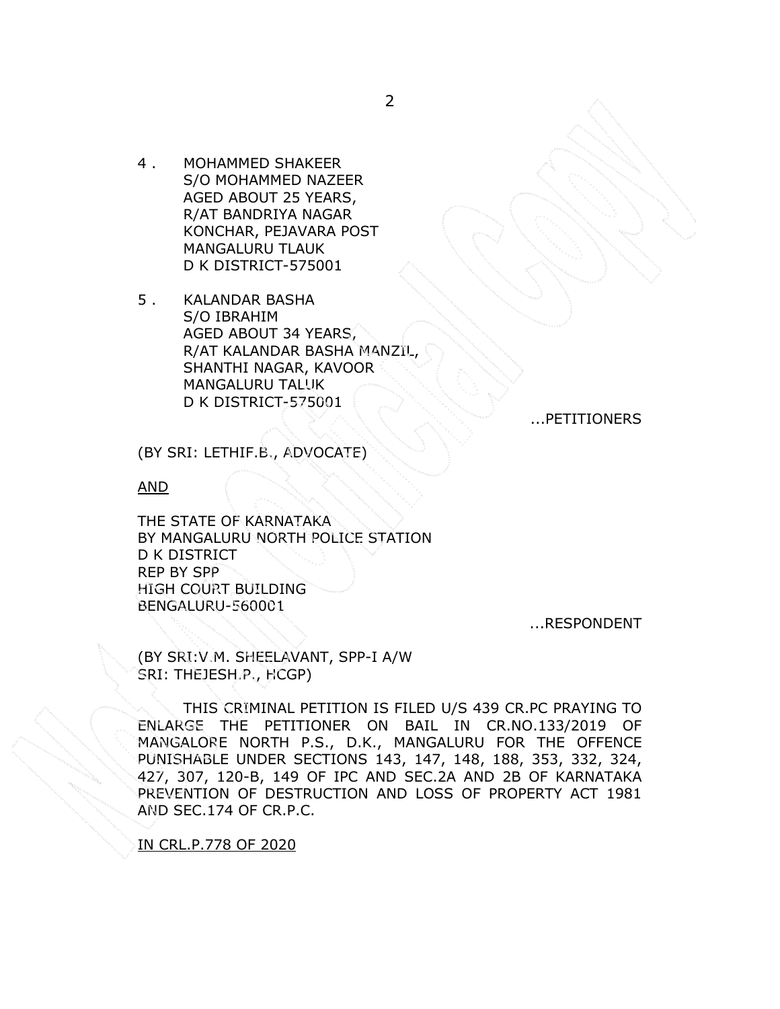- 4 . MOHAMMED SHAKEER S/O MOHAMMED NAZEER AGED ABOUT 25 YEARS, R/AT BANDRIYA NAGAR KONCHAR, PEJAVARA POST MANGALURU TLAUK D K DISTRICT-575001
- 5 . KALANDAR BASHA S/O IBRAHIM AGED ABOUT 34 YEARS, R/AT KALANDAR BASHA MANZIL, SHANTHI NAGAR, KAVOOR MANGALURU TALUK D K DISTRICT-575001

...PETITIONERS

(BY SRI: LETHIF.B., ADVOCATE)

AND

THE STATE OF KARNATAKA BY MANGALURU NORTH POLICE STATION D K DISTRICT REP BY SPP HIGH COURT BUILDING BENGALURU-560001

...RESPONDENT

(BY SRI:V.M. SHEELAVANT, SPP-I A/W SRI: THEJESH.P., HCGP)

THIS CRIMINAL PETITION IS FILED U/S 439 CR.PC PRAYING TO ENLARGE THE PETITIONER ON BAIL IN CR.NO.133/2019 OF MANGALORE NORTH P.S., D.K., MANGALURU FOR THE OFFENCE PUNISHABLE UNDER SECTIONS 143, 147, 148, 188, 353, 332, 324, 427, 307, 120-B, 149 OF IPC AND SEC.2A AND 2B OF KARNATAKA PREVENTION OF DESTRUCTION AND LOSS OF PROPERTY ACT 1981 AND SEC.174 OF CR.P.C.

IN CRL.P.778 OF 2020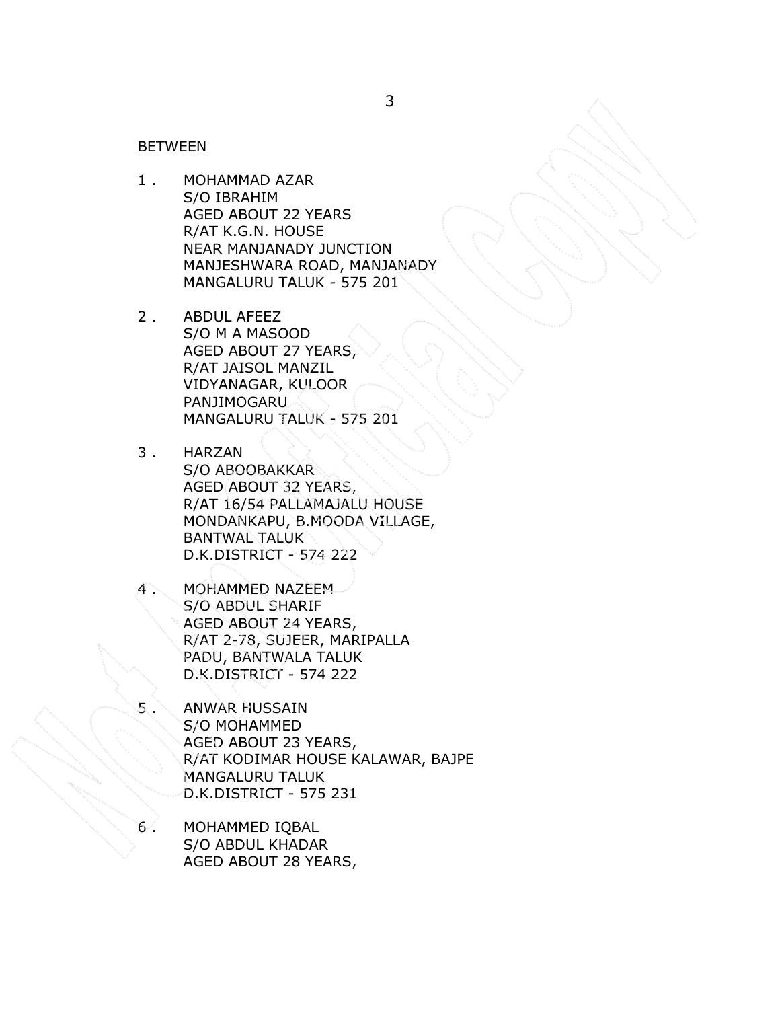### **BETWEEN**

- 1 . MOHAMMAD AZAR S/O IBRAHIM AGED ABOUT 22 YEARS R/AT K.G.N. HOUSE NEAR MANJANADY JUNCTION MANJESHWARA ROAD, MANJANADY MANGALURU TALUK - 575 201
- 2 . ABDUL AFEEZ S/O M A MASOOD AGED ABOUT 27 YEARS, R/AT JAISOL MANZIL VIDYANAGAR, KULOOR PANJIMOGARU MANGALURU TALUK - 575 201
- 3 . HARZAN S/O ABOOBAKKAR AGED ABOUT 32 YEARS, R/AT 16/54 PALLAMAJALU HOUSE MONDANKAPU, B.MOODA VILLAGE, BANTWAL TALUK D.K.DISTRICT - 574 222
- 4 . MOHAMMED NAZEEM S/O ABDUL SHARIF AGED ABOUT 24 YEARS, R/AT 2-78, SUJEER, MARIPALLA PADU, BANTWALA TALUK D.K.DISTRICT - 574 222
- 5 . ANWAR HUSSAIN S/O MOHAMMED AGED ABOUT 23 YEARS, R/AT KODIMAR HOUSE KALAWAR, BAJPE MANGALURU TALUK D.K.DISTRICT - 575 231
- 6 . MOHAMMED IQBAL S/O ABDUL KHADAR AGED ABOUT 28 YEARS,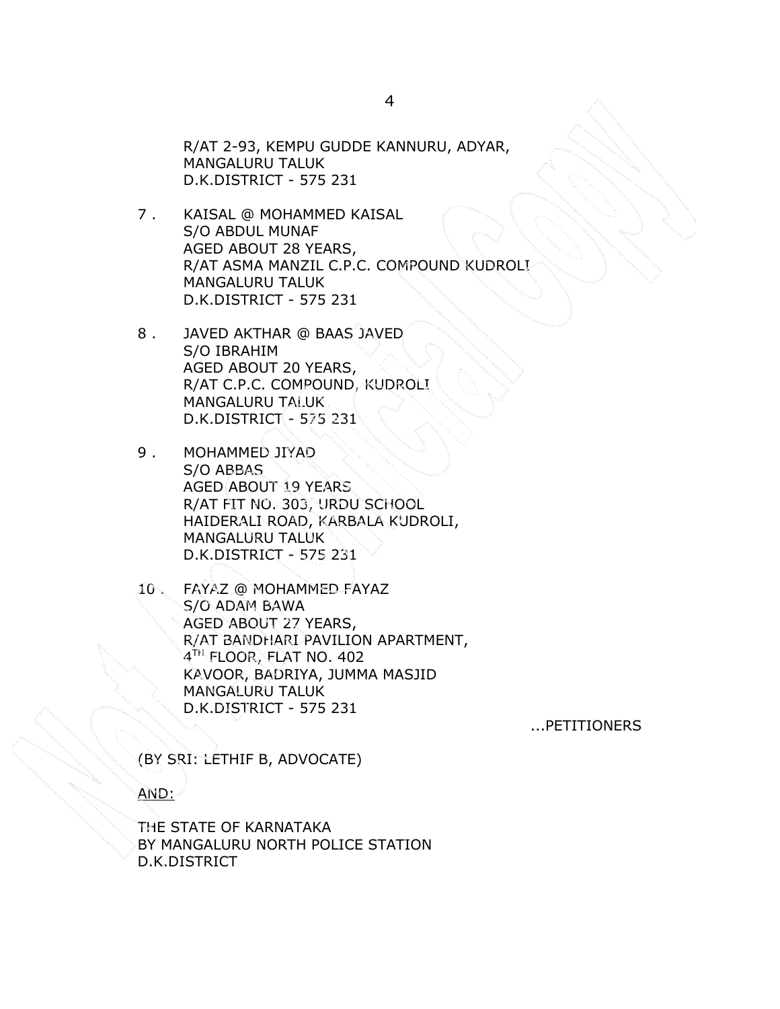R/AT 2-93, KEMPU GUDDE KANNURU, ADYAR, MANGALURU TALUK D.K.DISTRICT - 575 231

- 7 . KAISAL @ MOHAMMED KAISAL S/O ABDUL MUNAF AGED ABOUT 28 YEARS, R/AT ASMA MANZIL C.P.C. COMPOUND KUDROLI MANGALURU TALUK D.K.DISTRICT - 575 231
- 8 . JAVED AKTHAR @ BAAS JAVED S/O IBRAHIM AGED ABOUT 20 YEARS, R/AT C.P.C. COMPOUND, KUDROLI MANGALURU TALUK D.K.DISTRICT - 575 231
- 9 . MOHAMMED JIYAD S/O ABBAS AGED ABOUT 19 YEARS R/AT FIT NO. 303, URDU SCHOOL HAIDERALI ROAD, KARBALA KUDROLI, MANGALURU TALUK D.K.DISTRICT - 575 231
- 10 . FAYAZ @ MOHAMMED FAYAZ S/O ADAM BAWA AGED ABOUT 27 YEARS, R/AT BANDHARI PAVILION APARTMENT, 4 TH FLOOR, FLAT NO. 402 KAVOOR, BADRIYA, JUMMA MASJID MANGALURU TALUK D.K.DISTRICT - 575 231

...PETITIONERS

(BY SRI: LETHIF B, ADVOCATE)

AND:

THE STATE OF KARNATAKA BY MANGALURU NORTH POLICE STATION D.K.DISTRICT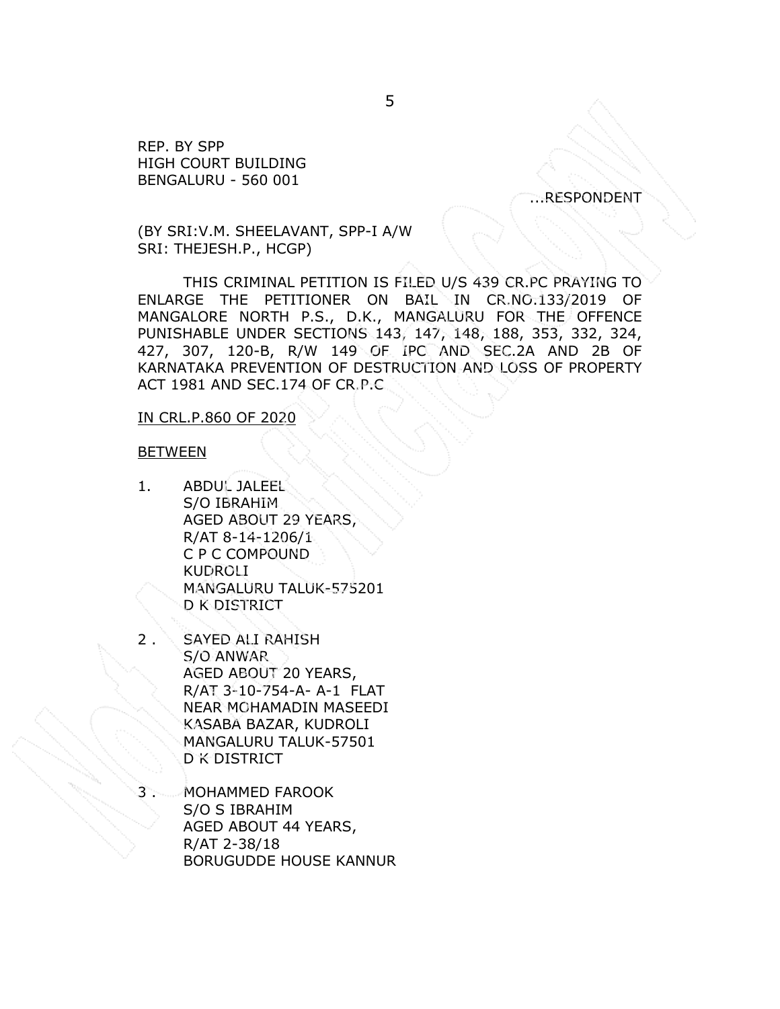REP. BY SPP HIGH COURT BUILDING BENGALURU - 560 001

...RESPONDENT

(BY SRI:V.M. SHEELAVANT, SPP-I A/W SRI: THEJESH.P., HCGP)

THIS CRIMINAL PETITION IS FILED U/S 439 CR.PC PRAYING TO ENLARGE THE PETITIONER ON BAIL IN CR.NO.133/2019 OF MANGALORE NORTH P.S., D.K., MANGALURU FOR THE OFFENCE PUNISHABLE UNDER SECTIONS 143, 147, 148, 188, 353, 332, 324, 427, 307, 120-B, R/W 149 OF IPC AND SEC.2A AND 2B OF KARNATAKA PREVENTION OF DESTRUCTION AND LOSS OF PROPERTY ACT 1981 AND SEC.174 OF CR.P.C

#### IN CRL.P.860 OF 2020

#### **BETWEEN**

- 1. ABDUL JALEEL S/O IBRAHIM AGED ABOUT 29 YEARS, R/AT 8-14-1206/1 C P C COMPOUND KUDROLI MANGALURU TALUK-575201 D K DISTRICT
- 2 . SAYED ALI RAHISH S/O ANWAR AGED ABOUT 20 YEARS, R/AT 3-10-754-A- A-1 FLAT NEAR MOHAMADIN MASEEDI KASABA BAZAR, KUDROLI MANGALURU TALUK-57501 D K DISTRICT
- MOHAMMED FAROOK S/O S IBRAHIM AGED ABOUT 44 YEARS, R/AT 2-38/18 BORUGUDDE HOUSE KANNUR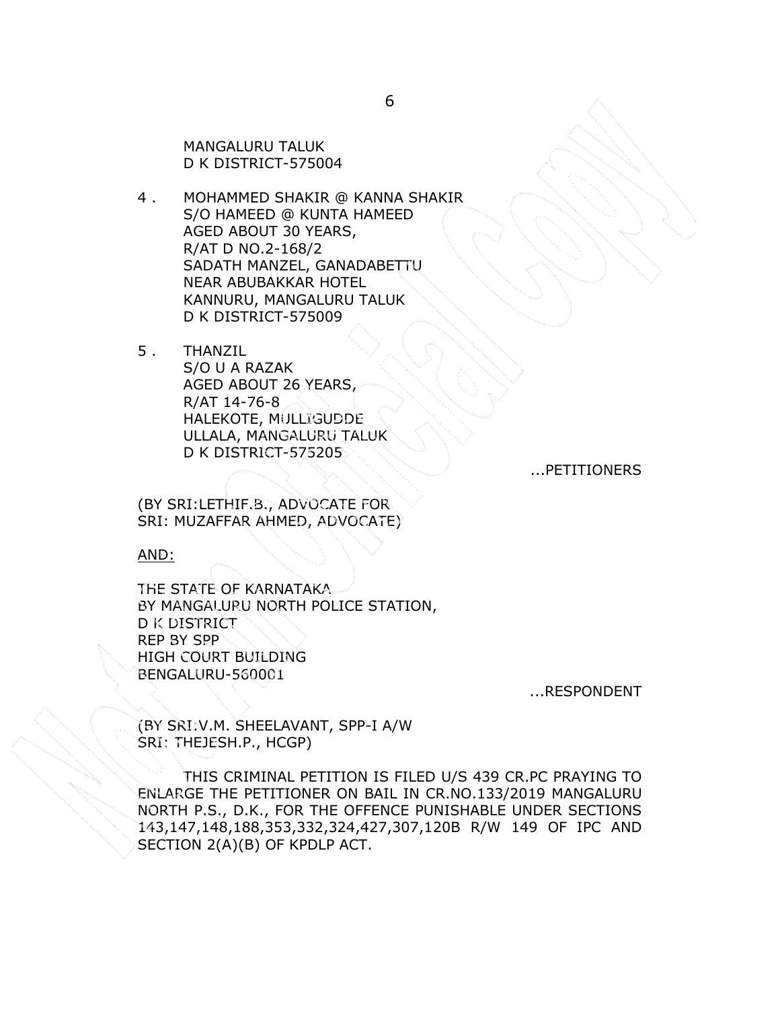MANGALURU TALUK D K DISTRICT-575004

- 4 . MOHAMMED SHAKIR @ KANNA SHAKIR S/O HAMEED @ KUNTA HAMEED AGED ABOUT 30 YEARS, R/AT D NO.2-168/2 SADATH MANZEL, GANADABETTU NEAR ABUBAKKAR HOTEL KANNURU, MANGALURU TALUK D K DISTRICT-575009
- 5 . THANZIL S/O U A RAZAK AGED ABOUT 26 YEARS, R/AT 14-76-8 HALEKOTE, MULLIGUDDE ULLALA, MANGALURU TALUK D K DISTRICT-575205

...PETITIONERS

(BY SRI:LETHIF.B., ADVOCATE FOR SRI: MUZAFFAR AHMED, ADVOCATE)

AND:

THE STATE OF KARNATAKA BY MANGALURU NORTH POLICE STATION, D K DISTRICT REP BY SPP HIGH COURT BUILDING BENGALURU-560001

...RESPONDENT

(BY SRI:V.M. SHEELAVANT, SPP-I A/W SRI: THEJESH.P., HCGP)

THIS CRIMINAL PETITION IS FILED U/S 439 CR.PC PRAYING TO ENLARGE THE PETITIONER ON BAIL IN CR.NO.133/2019 MANGALURU NORTH P.S., D.K., FOR THE OFFENCE PUNISHABLE UNDER SECTIONS 143,147,148,188,353,332,324,427,307,120B R/W 149 OF IPC AND SECTION 2(A)(B) OF KPDLP ACT.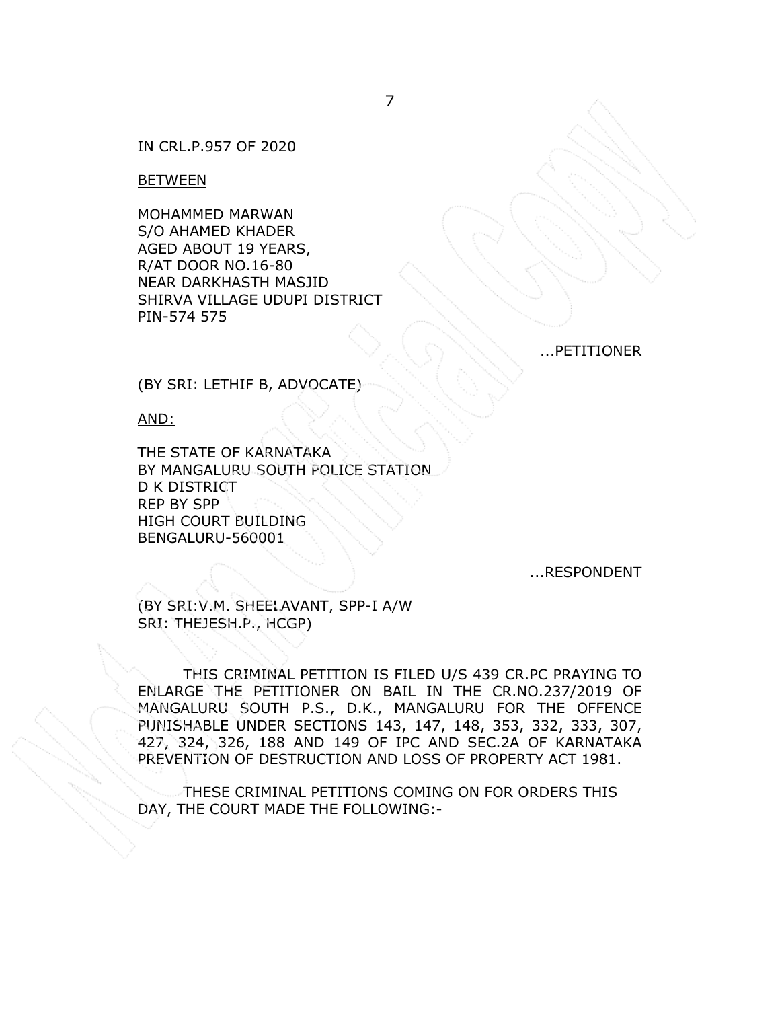## IN CRL.P.957 OF 2020

#### BETWEEN

MOHAMMED MARWAN S/O AHAMED KHADER AGED ABOUT 19 YEARS, R/AT DOOR NO.16-80 NEAR DARKHASTH MASJID SHIRVA VILLAGE UDUPI DISTRICT PIN-574 575

...PETITIONER

(BY SRI: LETHIF B, ADVOCATE)

AND:

THE STATE OF KARNATAKA BY MANGALURU SOUTH POLICE STATION D K DISTRICT REP BY SPP HIGH COURT BUILDING BENGALURU-560001

...RESPONDENT

(BY SRI:V.M. SHEELAVANT, SPP-I A/W SRI: THEJESH.P., HCGP)

THIS CRIMINAL PETITION IS FILED U/S 439 CR.PC PRAYING TO ENLARGE THE PETITIONER ON BAIL IN THE CR.NO.237/2019 OF MANGALURU SOUTH P.S., D.K., MANGALURU FOR THE OFFENCE PUNISHABLE UNDER SECTIONS 143, 147, 148, 353, 332, 333, 307, 427, 324, 326, 188 AND 149 OF IPC AND SEC.2A OF KARNATAKA PREVENTION OF DESTRUCTION AND LOSS OF PROPERTY ACT 1981.

THESE CRIMINAL PETITIONS COMING ON FOR ORDERS THIS DAY, THE COURT MADE THE FOLLOWING:-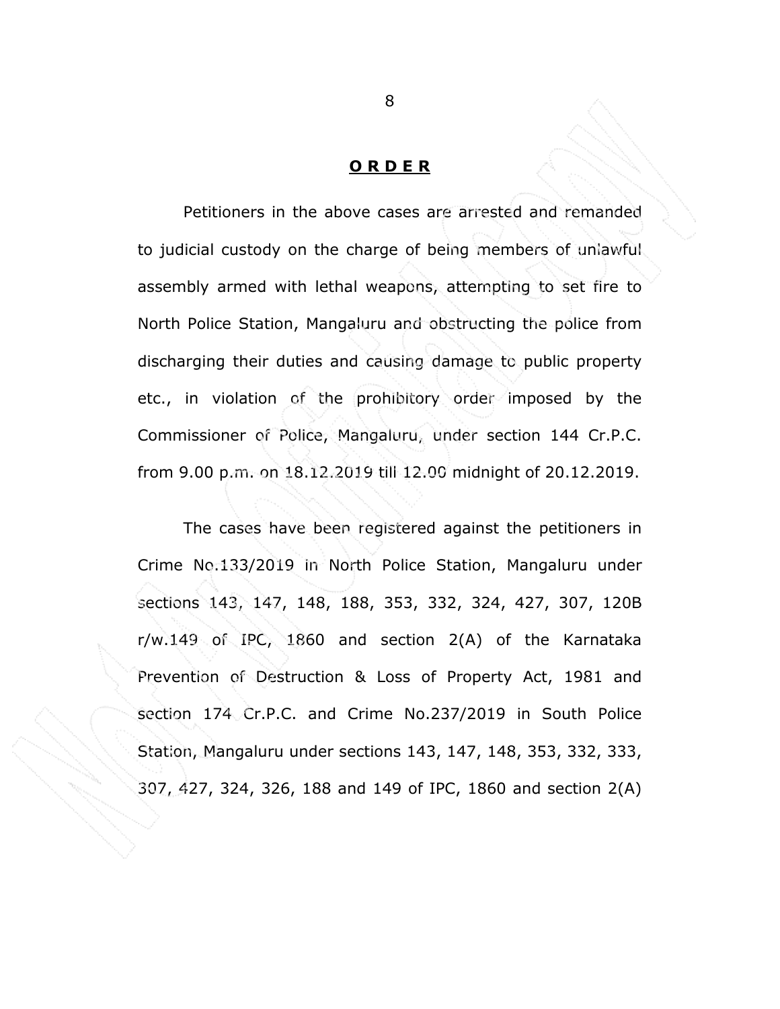### ORDER

Petitioners in the above cases are arrested and remanded to judicial custody on the charge of being members of unlawful assembly armed with lethal weapons, attempting to set fire to North Police Station, Mangaluru and obstructing the police from discharging their duties and causing damage to public property etc., in violation of the prohibitory order imposed by the Commissioner of Police, Mangaluru, under section 144 Cr.P.C. from 9.00 p.m. on 18.12.2019 till 12.00 midnight of 20.12.2019.

 The cases have been registered against the petitioners in Crime No.133/2019 in North Police Station, Mangaluru under sections 143, 147, 148, 188, 353, 332, 324, 427, 307, 120B r/w.149 of IPC, 1860 and section 2(A) of the Karnataka Prevention of Destruction & Loss of Property Act, 1981 and section 174 Cr.P.C. and Crime No.237/2019 in South Police Station, Mangaluru under sections 143, 147, 148, 353, 332, 333, 307, 427, 324, 326, 188 and 149 of IPC, 1860 and section 2(A)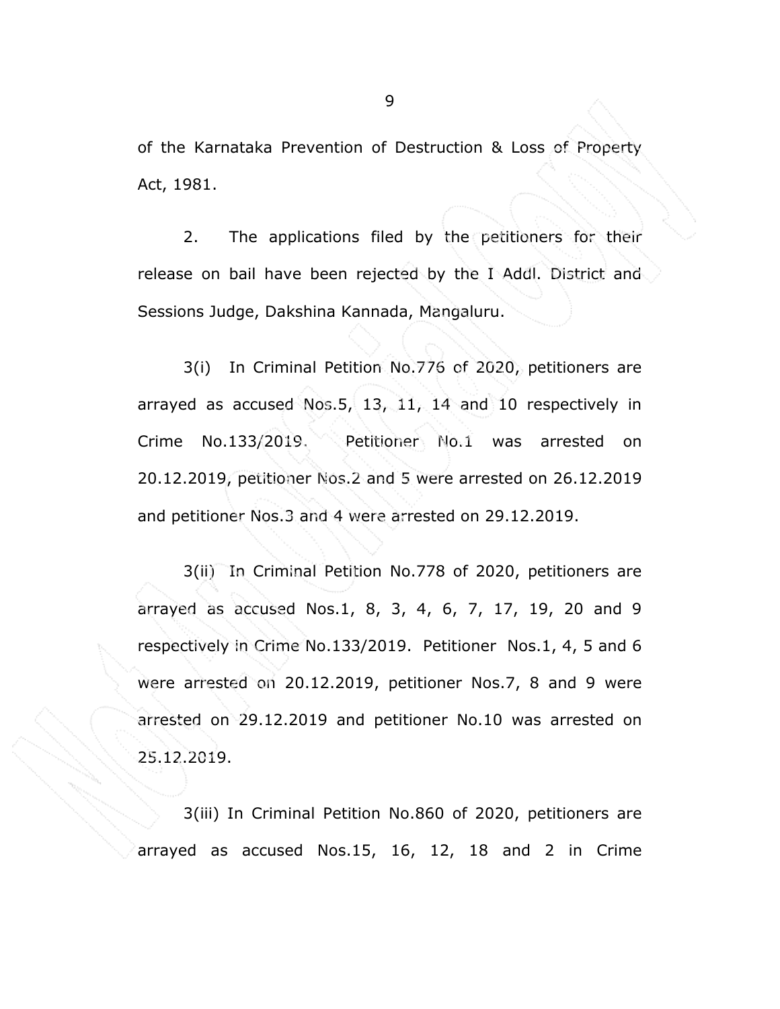of the Karnataka Prevention of Destruction & Loss of Property Act, 1981.

 2. The applications filed by the petitioners for their release on bail have been rejected by the I Addl. District and Sessions Judge, Dakshina Kannada, Mangaluru.

3(i) In Criminal Petition No.776 of 2020, petitioners are arrayed as accused Nos.5, 13, 11, 14 and 10 respectively in Crime No.133/2019. Petitioner No.1 was arrested on 20.12.2019, petitioner Nos.2 and 5 were arrested on 26.12.2019 and petitioner Nos.3 and 4 were arrested on 29.12.2019.

 3(ii) In Criminal Petition No.778 of 2020, petitioners are arrayed as accused Nos.1, 8, 3, 4, 6, 7, 17, 19, 20 and 9 respectively in Crime No.133/2019. Petitioner Nos.1, 4, 5 and 6 were arrested on 20.12.2019, petitioner Nos.7, 8 and 9 were arrested on 29.12.2019 and petitioner No.10 was arrested on 25.12.2019.

 3(iii) In Criminal Petition No.860 of 2020, petitioners are arrayed as accused Nos.15, 16, 12, 18 and 2 in Crime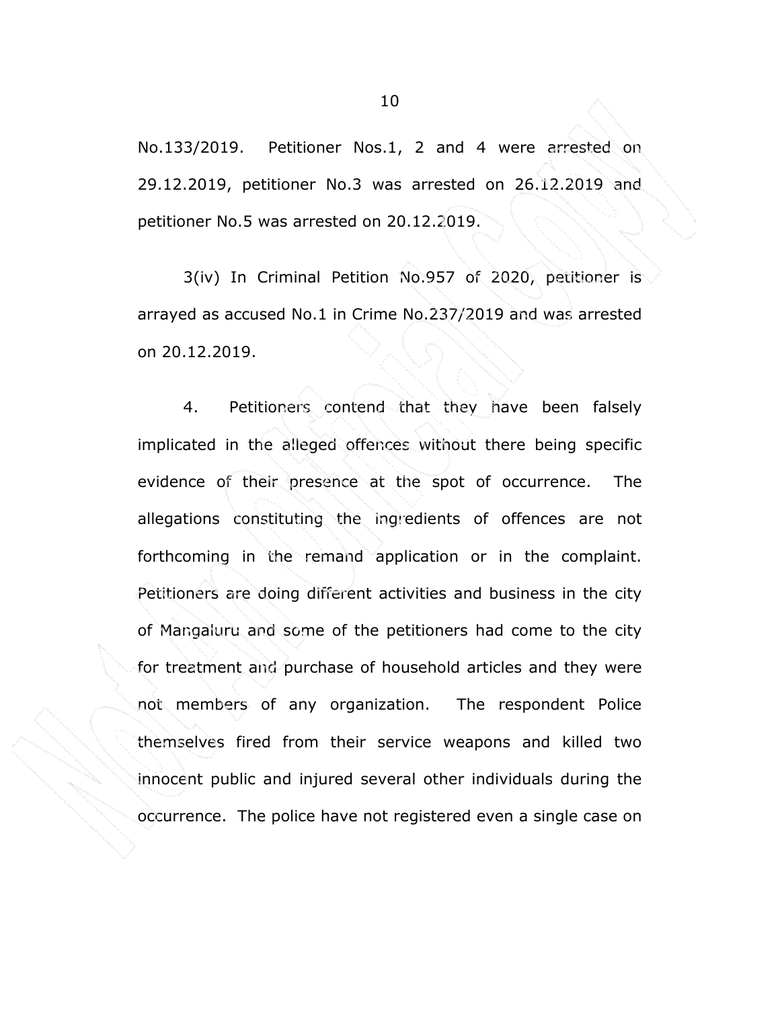No.133/2019. Petitioner Nos.1, 2 and 4 were arrested on 29.12.2019, petitioner No.3 was arrested on 26.12.2019 and petitioner No.5 was arrested on 20.12.2019.

 3(iv) In Criminal Petition No.957 of 2020, petitioner is arrayed as accused No.1 in Crime No.237/2019 and was arrested on 20.12.2019.

 4. Petitioners contend that they have been falsely implicated in the alleged offences without there being specific evidence of their presence at the spot of occurrence. The allegations constituting the ingredients of offences are not forthcoming in the remand application or in the complaint. Petitioners are doing different activities and business in the city of Mangaluru and some of the petitioners had come to the city for treatment and purchase of household articles and they were not members of any organization. The respondent Police themselves fired from their service weapons and killed two innocent public and injured several other individuals during the occurrence. The police have not registered even a single case on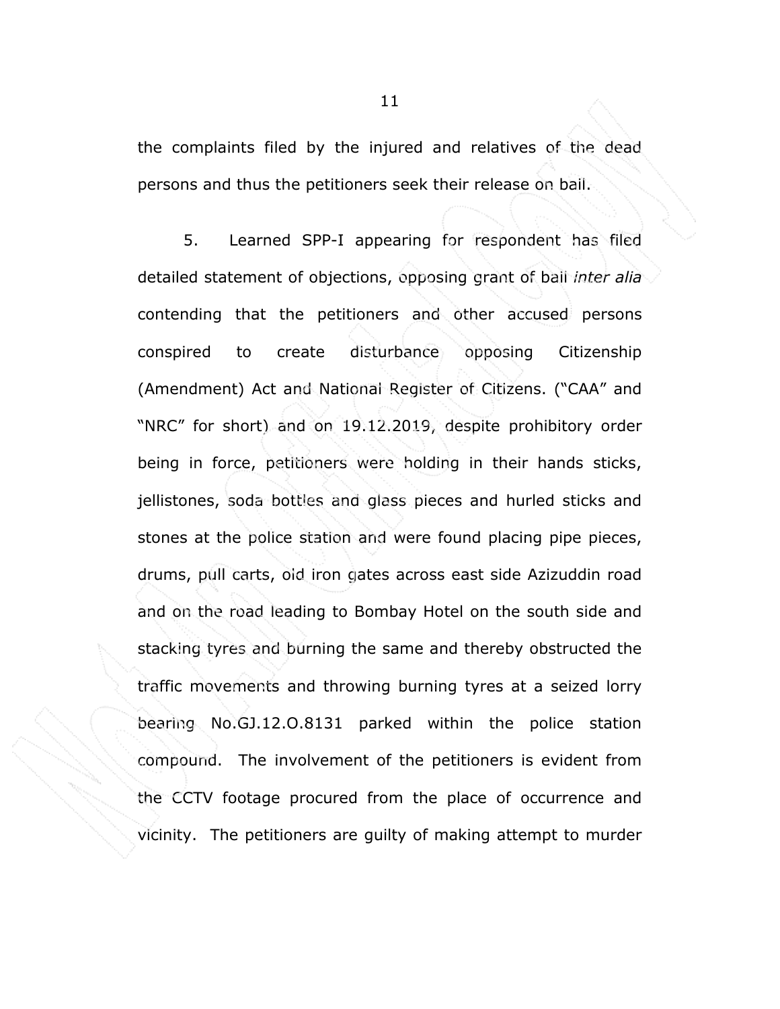the complaints filed by the injured and relatives of the dead persons and thus the petitioners seek their release on bail.

 5. Learned SPP-I appearing for respondent has filed detailed statement of objections, opposing grant of bail inter alia contending that the petitioners and other accused persons conspired to create disturbance opposing Citizenship (Amendment) Act and National Register of Citizens. ("CAA" and "NRC" for short) and on 19.12.2019, despite prohibitory order being in force, petitioners were holding in their hands sticks, jellistones, soda bottles and glass pieces and hurled sticks and stones at the police station and were found placing pipe pieces, drums, pull carts, old iron gates across east side Azizuddin road and on the road leading to Bombay Hotel on the south side and stacking tyres and burning the same and thereby obstructed the traffic movements and throwing burning tyres at a seized lorry bearing No.GJ.12.O.8131 parked within the police station compound. The involvement of the petitioners is evident from the CCTV footage procured from the place of occurrence and vicinity. The petitioners are guilty of making attempt to murder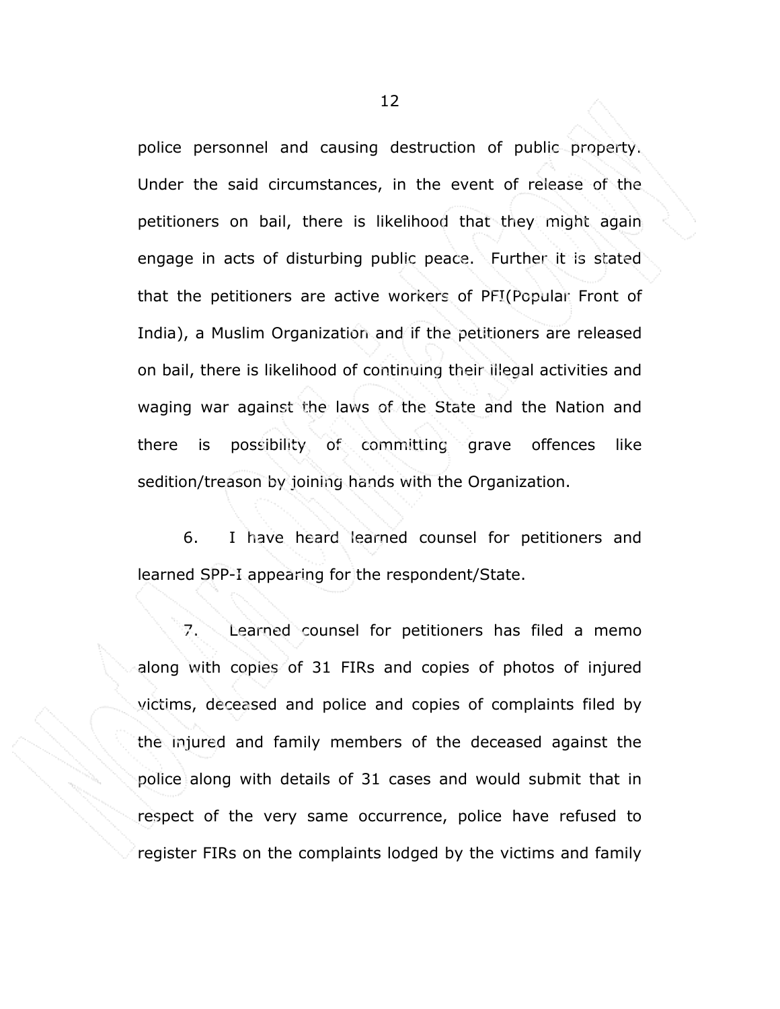police personnel and causing destruction of public property. Under the said circumstances, in the event of release of the petitioners on bail, there is likelihood that they might again engage in acts of disturbing public peace. Further it is stated that the petitioners are active workers of PFI(Popular Front of India), a Muslim Organization and if the petitioners are released on bail, there is likelihood of continuing their illegal activities and waging war against the laws of the State and the Nation and there is possibility of committing grave offences like sedition/treason by joining hands with the Organization.

 6. I have heard learned counsel for petitioners and learned SPP-I appearing for the respondent/State.

 7. Learned counsel for petitioners has filed a memo along with copies of 31 FIRs and copies of photos of injured victims, deceased and police and copies of complaints filed by the injured and family members of the deceased against the police along with details of 31 cases and would submit that in respect of the very same occurrence, police have refused to register FIRs on the complaints lodged by the victims and family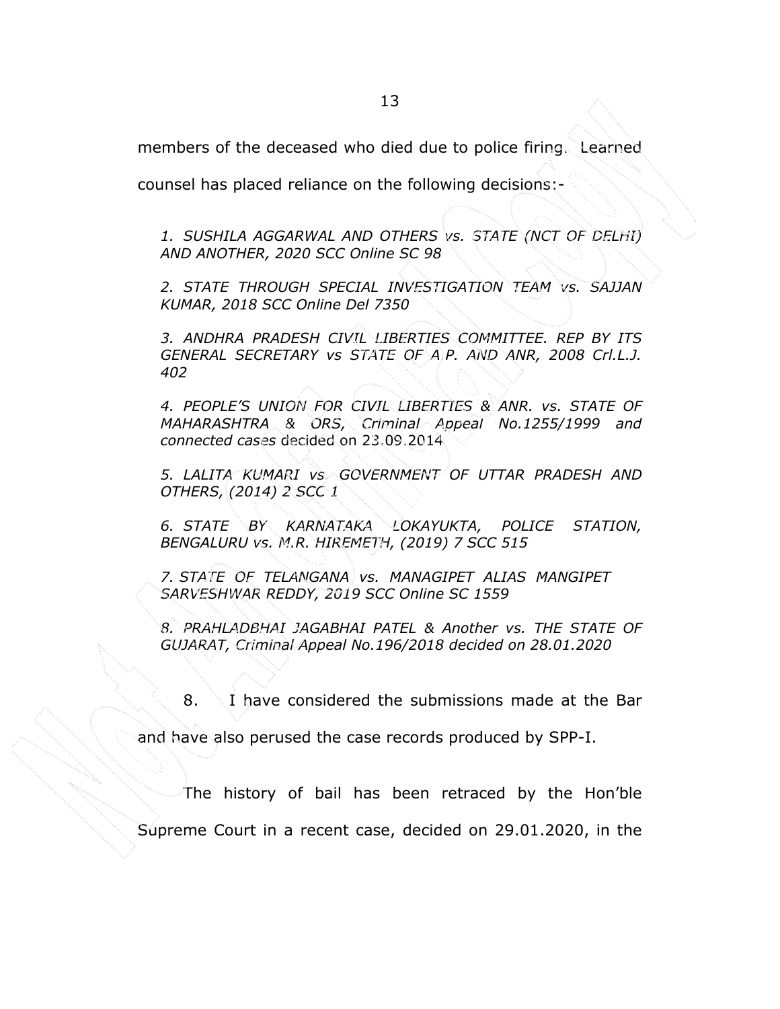members of the deceased who died due to police firing. Learned

counsel has placed reliance on the following decisions:-

1. SUSHILA AGGARWAL AND OTHERS vs. STATE (NCT OF DELHI) AND ANOTHER, 2020 SCC Online SC 98

2. STATE THROUGH SPECIAL INVESTIGATION TEAM vs. SAJJAN KUMAR, 2018 SCC Online Del 7350

3. ANDHRA PRADESH CIVIL LIBERTIES COMMITTEE. REP BY ITS GENERAL SECRETARY vs STATE OF A.P. AND ANR, 2008 Crl.L.J. 402

4. PEOPLE'S UNION FOR CIVIL LIBERTIES & ANR. vs. STATE OF MAHARASHTRA & ORS, Criminal Appeal No.1255/1999 and connected cases decided on 23.09.2014

5. LALITA KUMARI vs. GOVERNMENT OF UTTAR PRADESH AND OTHERS, (2014) 2 SCC 1

6. STATE BY KARNATAKA LOKAYUKTA, POLICE STATION, BENGALURU vs. M.R. HIREMETH, (2019) 7 SCC 515

7. STATE OF TELANGANA vs. MANAGIPET ALIAS MANGIPET SARVESHWAR REDDY, 2019 SCC Online SC 1559

8. PRAHLADBHAI JAGABHAI PATEL & Another vs. THE STATE OF GUJARAT, Criminal Appeal No.196/2018 decided on 28.01.2020

8. I have considered the submissions made at the Bar

and have also perused the case records produced by SPP-I.

The history of bail has been retraced by the Hon'ble

Supreme Court in a recent case, decided on 29.01.2020, in the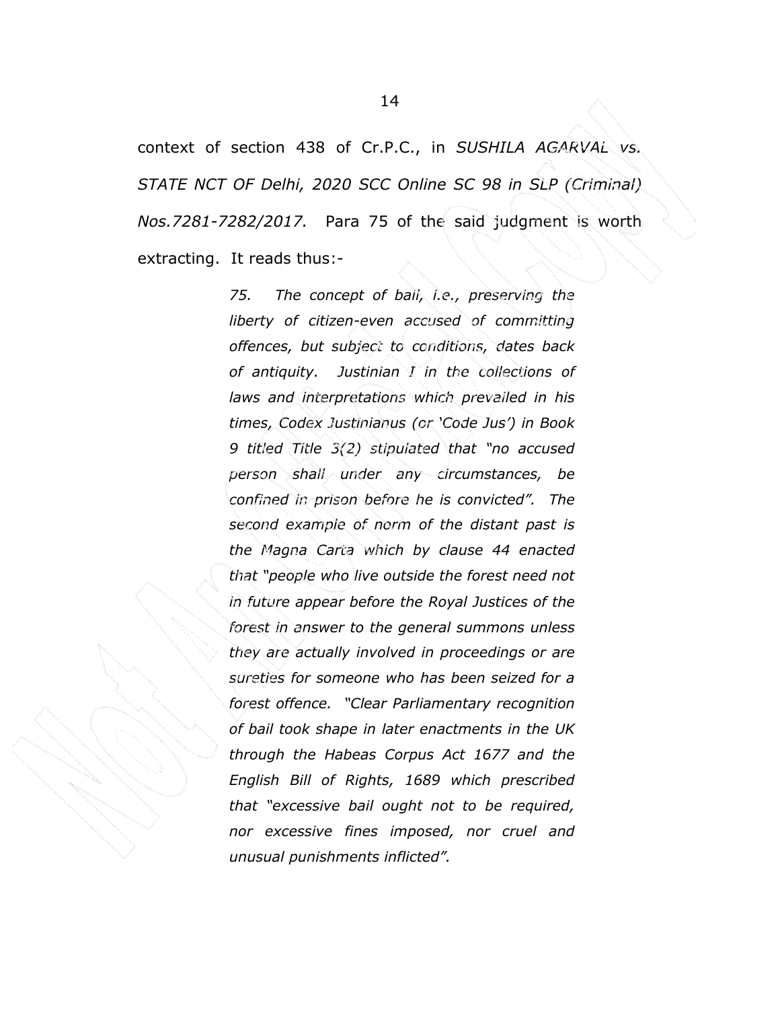context of section 438 of Cr.P.C., in SUSHILA AGARVAL vs. STATE NCT OF Delhi, 2020 SCC Online SC 98 in SLP (Criminal) Nos.7281-7282/2017. Para 75 of the said judgment is worth extracting. It reads thus:-

> 75. The concept of bail, i.e., preserving the liberty of citizen-even accused of committing offences, but subject to conditions, dates back of antiquity. Justinian I in the collections of laws and interpretations which prevailed in his times, Codex Justinianus (or 'Code Jus') in Book 9 titled Title 3(2) stipulated that "no accused person shall under any circumstances, be confined in prison before he is convicted". The second example of norm of the distant past is the Magna Carta which by clause 44 enacted that "people who live outside the forest need not in future appear before the Royal Justices of the forest in answer to the general summons unless they are actually involved in proceedings or are sureties for someone who has been seized for a forest offence. "Clear Parliamentary recognition of bail took shape in later enactments in the UK through the Habeas Corpus Act 1677 and the English Bill of Rights, 1689 which prescribed that "excessive bail ought not to be required, nor excessive fines imposed, nor cruel and unusual punishments inflicted".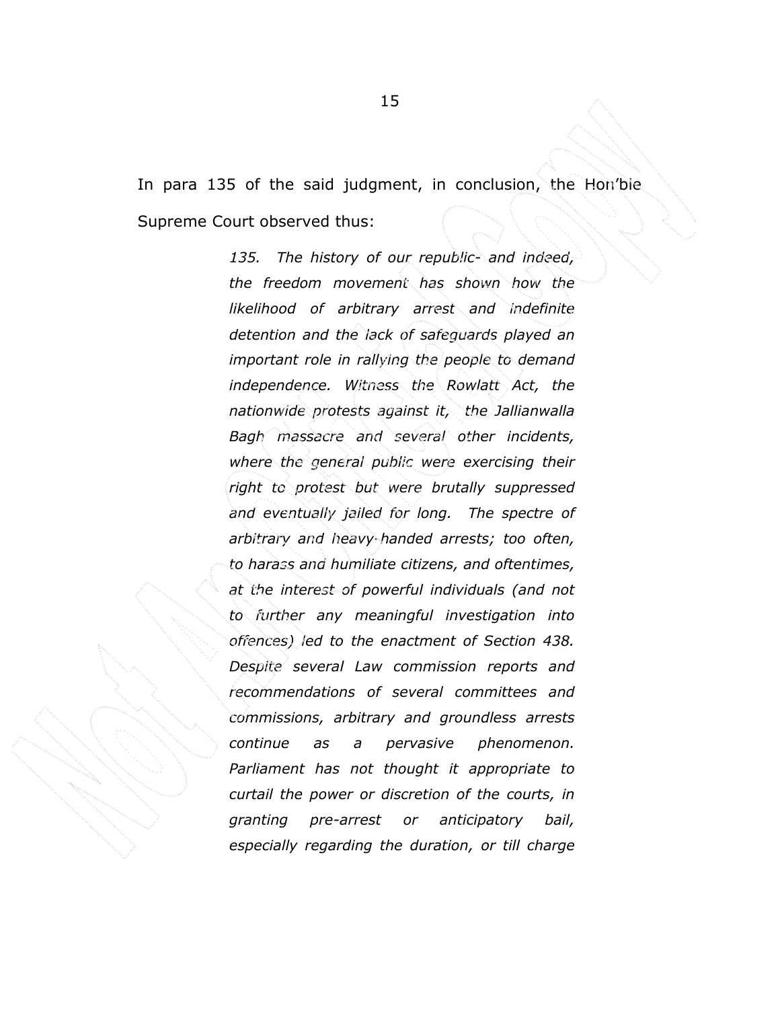In para 135 of the said judgment, in conclusion, the Hon'ble

Supreme Court observed thus:

135. The history of our republic- and indeed, the freedom movement has shown how the likelihood of arbitrary arrest and indefinite detention and the lack of safeguards played an important role in rallying the people to demand independence. Witness the Rowlatt Act, the nationwide protests against it, the Jallianwalla Bagh massacre and several other incidents, where the general public were exercising their right to protest but were brutally suppressed and eventually jailed for long. The spectre of arbitrary and heavy-handed arrests; too often, to harass and humiliate citizens, and oftentimes, at the interest of powerful individuals (and not to further any meaningful investigation into offences) led to the enactment of Section 438. Despite several Law commission reports and recommendations of several committees and commissions, arbitrary and groundless arrests continue as a pervasive phenomenon. Parliament has not thought it appropriate to curtail the power or discretion of the courts, in granting pre-arrest or anticipatory bail, especially regarding the duration, or till charge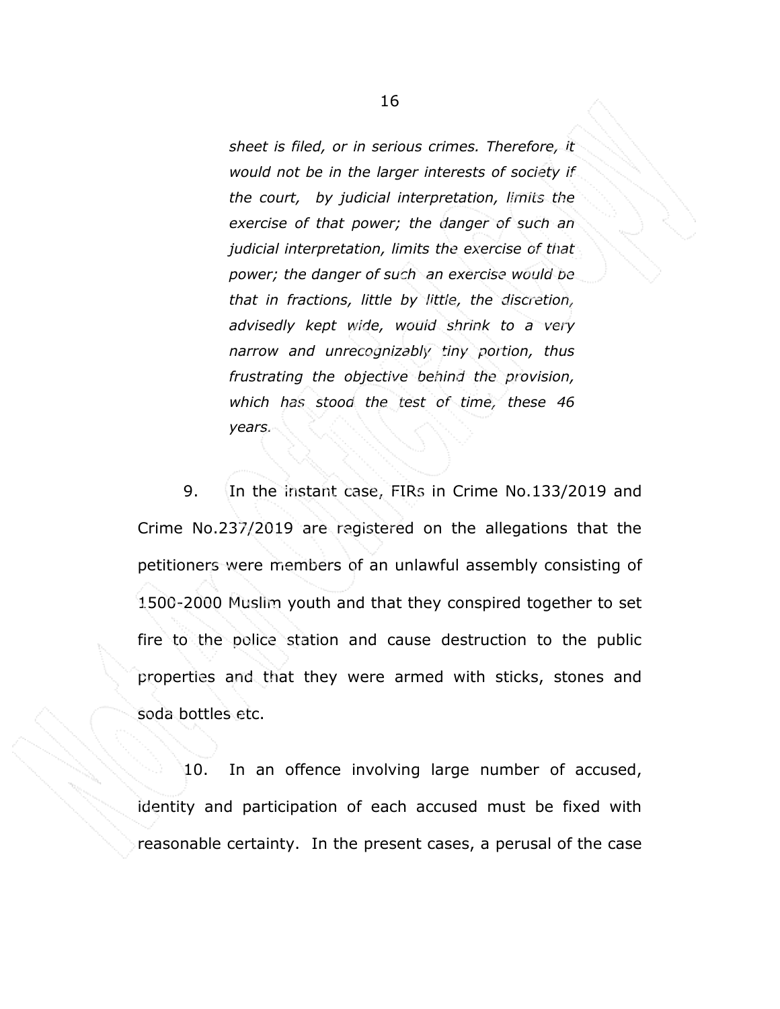sheet is filed, or in serious crimes. Therefore, it would not be in the larger interests of society if. the court, by judicial interpretation, limits the exercise of that power; the danger of such an judicial interpretation, limits the exercise of that power; the danger of such an exercise would be that in fractions, little by little, the discretion, advisedly kept wide, would shrink to a very narrow and unrecognizably tiny portion, thus frustrating the objective behind the provision, which has stood the test of time, these 46 years.

 9. In the instant case, FIRs in Crime No.133/2019 and Crime No.237/2019 are registered on the allegations that the petitioners were members of an unlawful assembly consisting of 1500-2000 Muslim youth and that they conspired together to set fire to the police station and cause destruction to the public properties and that they were armed with sticks, stones and soda bottles etc.

 10. In an offence involving large number of accused, identity and participation of each accused must be fixed with reasonable certainty. In the present cases, a perusal of the case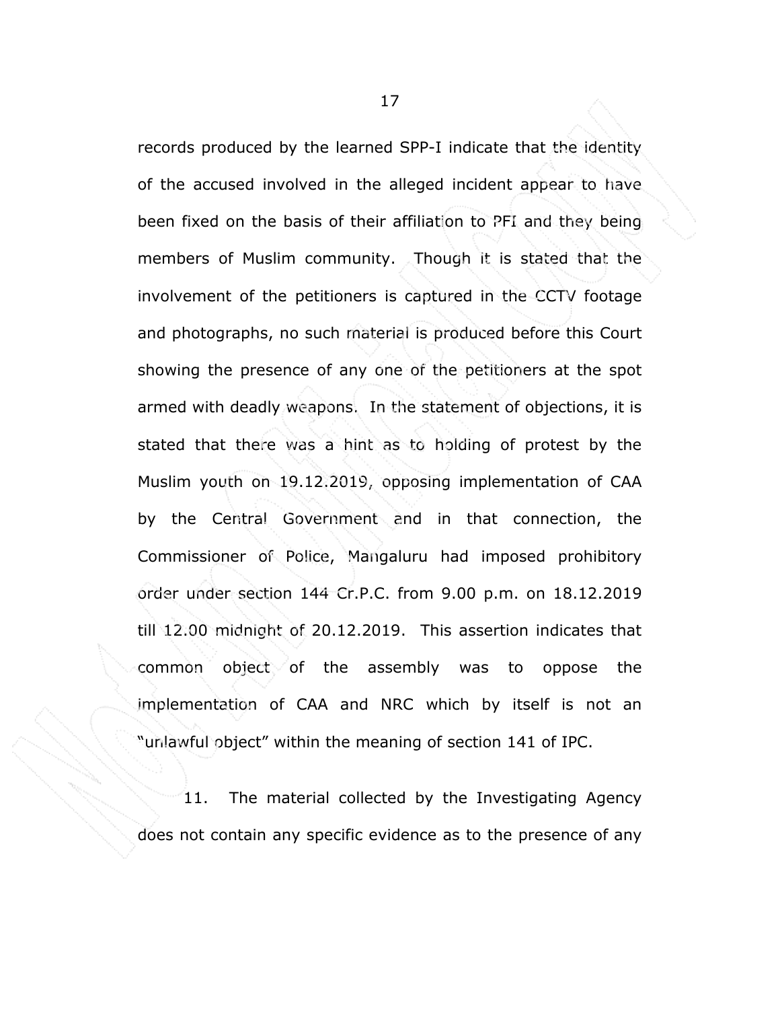records produced by the learned SPP-I indicate that the identity of the accused involved in the alleged incident appear to have been fixed on the basis of their affiliation to PFI and they being members of Muslim community. Though it is stated that the involvement of the petitioners is captured in the CCTV footage and photographs, no such material is produced before this Court showing the presence of any one of the petitioners at the spot armed with deadly weapons. In the statement of objections, it is stated that there was a hint as to holding of protest by the Muslim youth on 19.12.2019, opposing implementation of CAA by the Central Government and in that connection, the Commissioner of Police, Mangaluru had imposed prohibitory order under section 144 Cr.P.C. from 9.00 p.m. on 18.12.2019 till 12.00 midnight of 20.12.2019. This assertion indicates that common object of the assembly was to oppose the implementation of CAA and NRC which by itself is not an "unlawful object" within the meaning of section 141 of IPC.

11. The material collected by the Investigating Agency does not contain any specific evidence as to the presence of any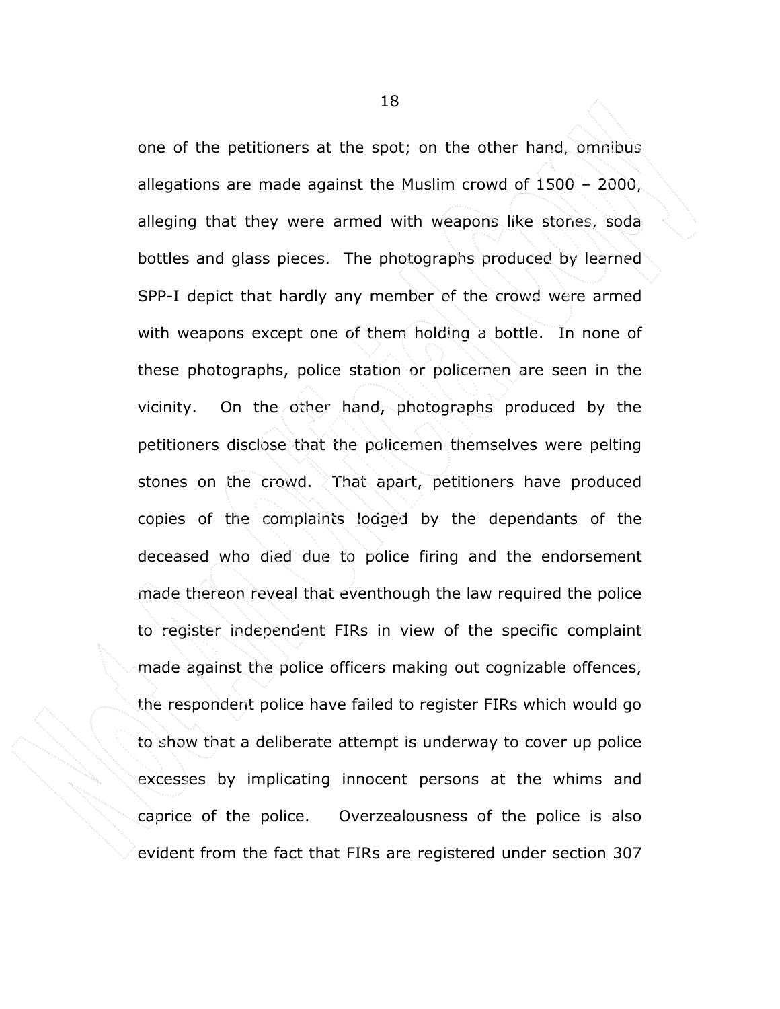one of the petitioners at the spot; on the other hand, omnibus allegations are made against the Muslim crowd of 1500 – 2000, alleging that they were armed with weapons like stones, soda bottles and glass pieces. The photographs produced by learned SPP-I depict that hardly any member of the crowd were armed with weapons except one of them holding a bottle. In none of these photographs, police station or policemen are seen in the vicinity. On the other hand, photographs produced by the petitioners disclose that the policemen themselves were pelting stones on the crowd. That apart, petitioners have produced copies of the complaints lodged by the dependants of the deceased who died due to police firing and the endorsement made thereon reveal that eventhough the law required the police to register independent FIRs in view of the specific complaint made against the police officers making out cognizable offences, the respondent police have failed to register FIRs which would go to show that a deliberate attempt is underway to cover up police excesses by implicating innocent persons at the whims and caprice of the police. Overzealousness of the police is also evident from the fact that FIRs are registered under section 307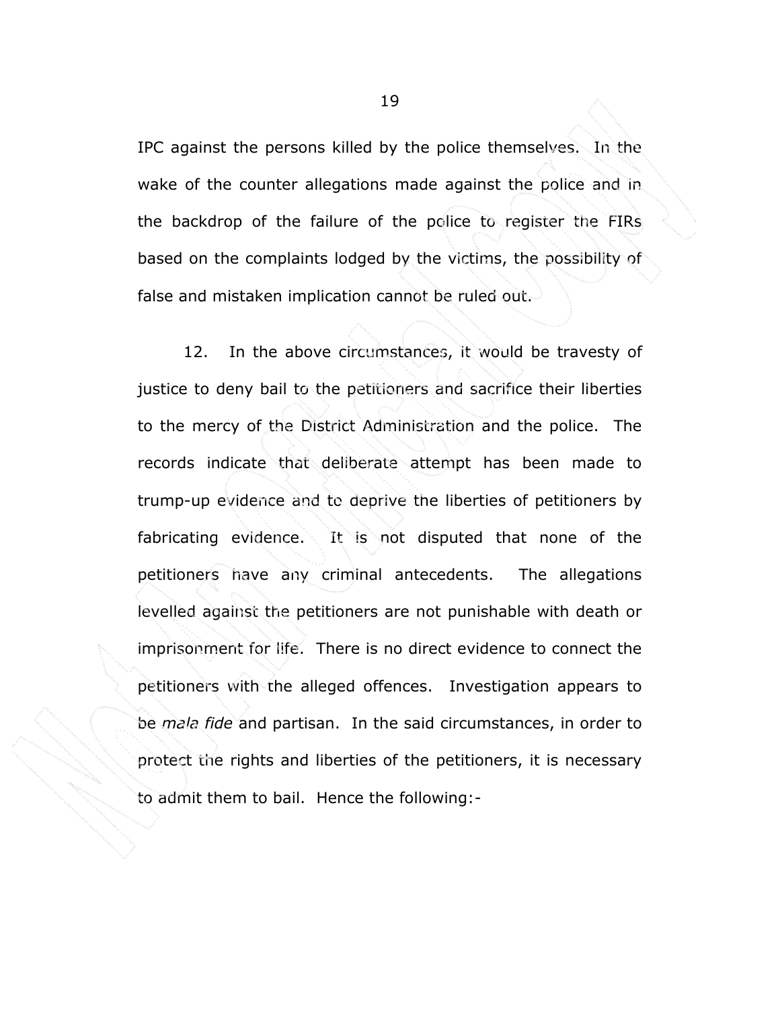IPC against the persons killed by the police themselves. In the wake of the counter allegations made against the police and in the backdrop of the failure of the police to register the FIRs based on the complaints lodged by the victims, the possibility of false and mistaken implication cannot be ruled out.

12. In the above circumstances, it would be travesty of justice to deny bail to the petitioners and sacrifice their liberties to the mercy of the District Administration and the police. The records indicate that deliberate attempt has been made to trump-up evidence and to deprive the liberties of petitioners by fabricating evidence. It is not disputed that none of the petitioners have any criminal antecedents. The allegations levelled against the petitioners are not punishable with death or imprisonment for life. There is no direct evidence to connect the petitioners with the alleged offences. Investigation appears to be mala fide and partisan. In the said circumstances, in order to protect the rights and liberties of the petitioners, it is necessary to admit them to bail. Hence the following:-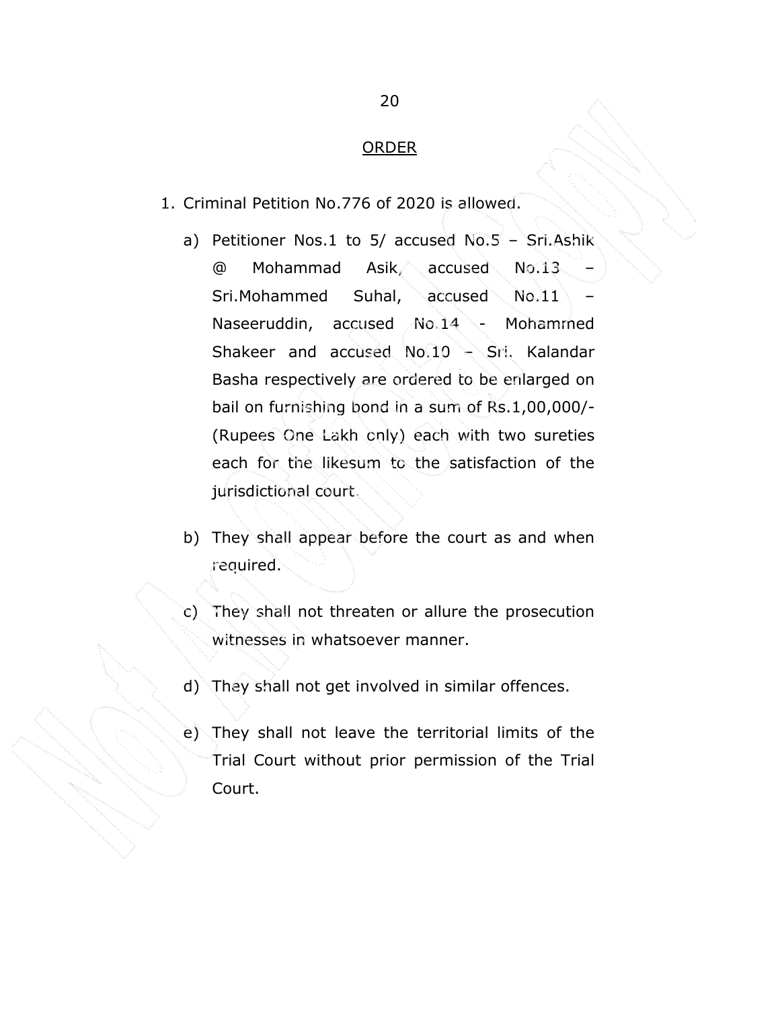### ORDER

- 1. Criminal Petition No.776 of 2020 is allowed.
	- a) Petitioner Nos.1 to 5/ accused No.5 Sri.Ashik @ Mohammad Asik, accused No.13 – Sri.Mohammed Suhal, accused No.11 Naseeruddin, accused No.14 - Mohammed Shakeer and accused No.10 – Sri. Kalandar Basha respectively are ordered to be enlarged on bail on furnishing bond in a sum of Rs.1,00,000/- (Rupees One Lakh only) each with two sureties each for the likesum to the satisfaction of the jurisdictional court.
	- b) They shall appear before the court as and when required.
	- c) They shall not threaten or allure the prosecution witnesses in whatsoever manner.
	- d) They shall not get involved in similar offences.
	- e) They shall not leave the territorial limits of the Trial Court without prior permission of the Trial Court.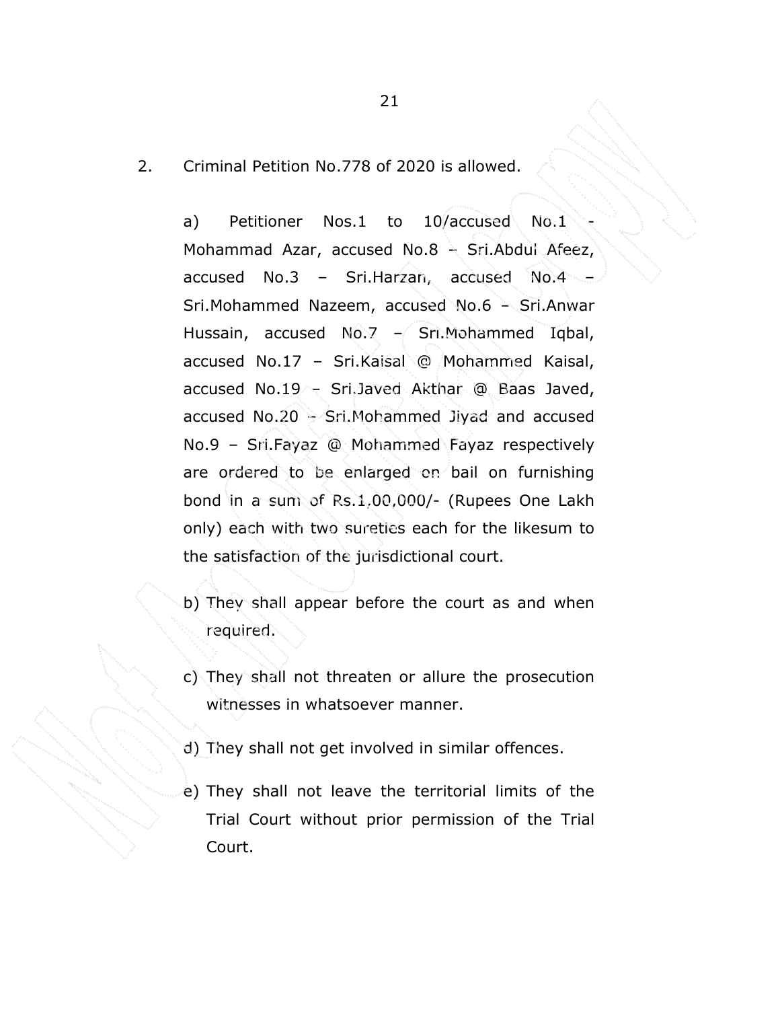2. Criminal Petition No.778 of 2020 is allowed.

a) Petitioner Nos.1 to 10/accused No.1 Mohammad Azar, accused No.8 – Sri.Abdul Afeez, accused No.3 – Sri.Harzan, accused No.4 – Sri.Mohammed Nazeem, accused No.6 – Sri.Anwar Hussain, accused No.7  $-$  Sri.Mohammed Iqbal, accused No.17 – Sri.Kaisal @ Mohammed Kaisal, accused No.19 – Sri.Javed Akthar @ Baas Javed, accused No.20 – Sri.Mohammed Jiyad and accused No.9 – Sri.Fayaz @ Mohammed Fayaz respectively are ordered to be enlarged on bail on furnishing bond in a sum of Rs.1,00,000/- (Rupees One Lakh only) each with two sureties each for the likesum to the satisfaction of the jurisdictional court.

- b) They shall appear before the court as and when required.
- c) They shall not threaten or allure the prosecution witnesses in whatsoever manner.
- d) They shall not get involved in similar offences.
- e) They shall not leave the territorial limits of the Trial Court without prior permission of the Trial Court.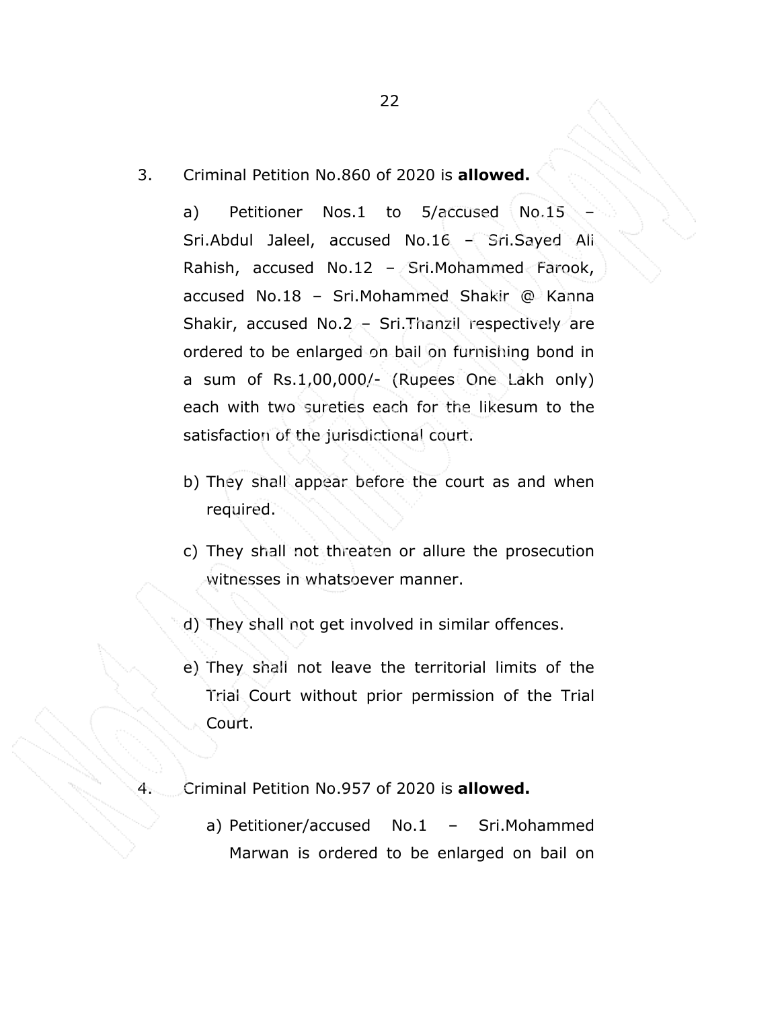3. Criminal Petition No.860 of 2020 is allowed.

a) Petitioner Nos.1 to 5/accused No.15 Sri.Abdul Jaleel, accused No.16 – Sri.Sayed Ali Rahish, accused No.12 – Sri.Mohammed Farook, accused No.18 – Sri.Mohammed Shakir @ Kanna Shakir, accused No.2 – Sri.Thanzil respectively are ordered to be enlarged on bail on furnishing bond in a sum of Rs.1,00,000/- (Rupees One Lakh only) each with two sureties each for the likesum to the satisfaction of the jurisdictional court.

- b) They shall appear before the court as and when required.
- c) They shall not threaten or allure the prosecution witnesses in whatsoever manner.

d) They shall not get involved in similar offences.

e) They shall not leave the territorial limits of the Trial Court without prior permission of the Trial Court.

Criminal Petition No.957 of 2020 is **allowed.** 

a) Petitioner/accused No.1 – Sri.Mohammed Marwan is ordered to be enlarged on bail on